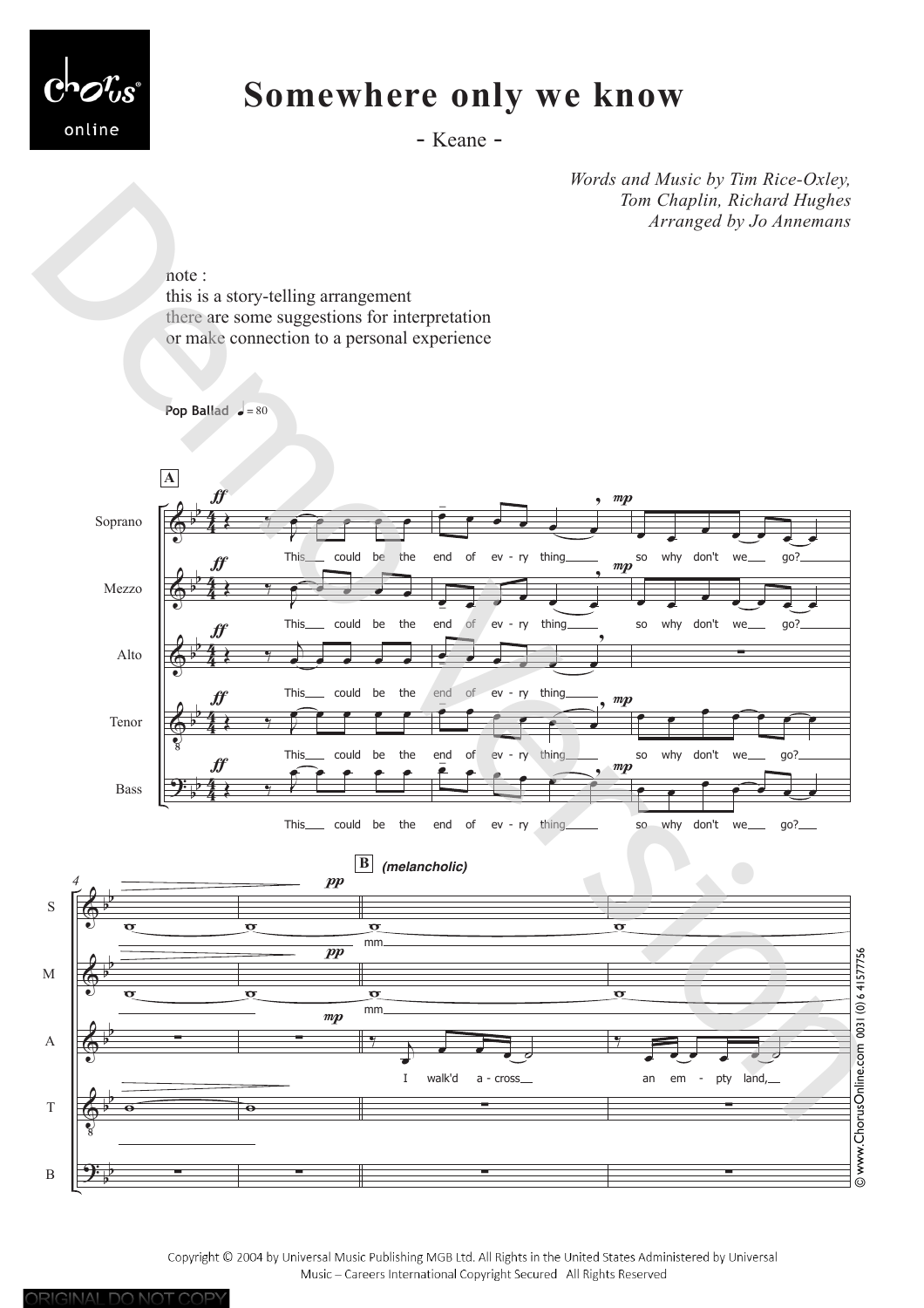

## **Somewhere only we know**

- Keane -

*Words and Music by Tim Rice-Oxley, Tom Chaplin, Richard Hughes Arranged by Jo Annemans*

note :

ORIGINAL DO NOT COPY

this is a story-telling arrangement there are some suggestions for interpretation or make connection to a personal experience



Copyright © 2004 by Universal Music Publishing MGB Ltd. All Rights in the United States Administered by Universal Music - Careers International Copyright Secured All Rights Reserved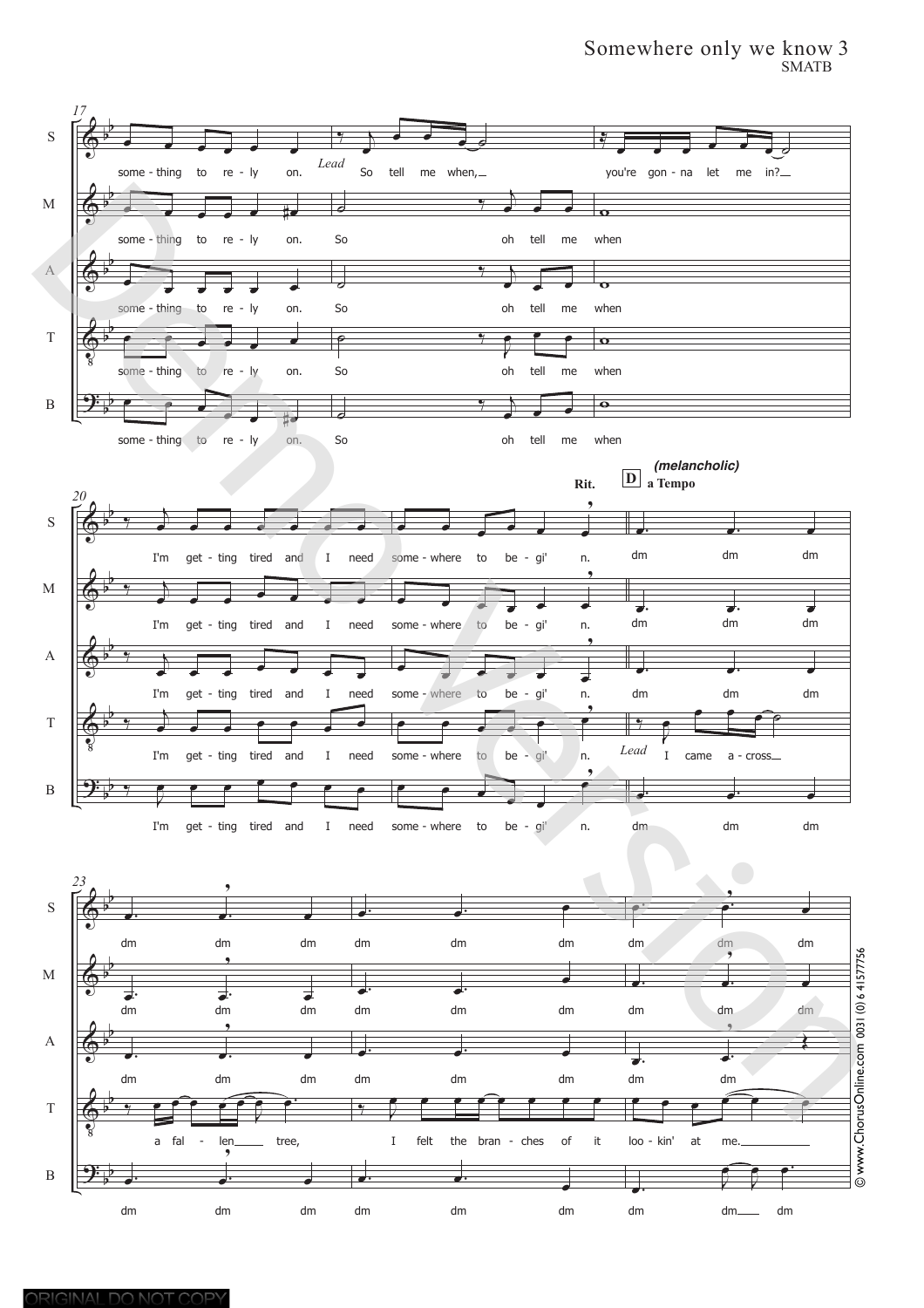## Somewhere only we know 3 SMATB

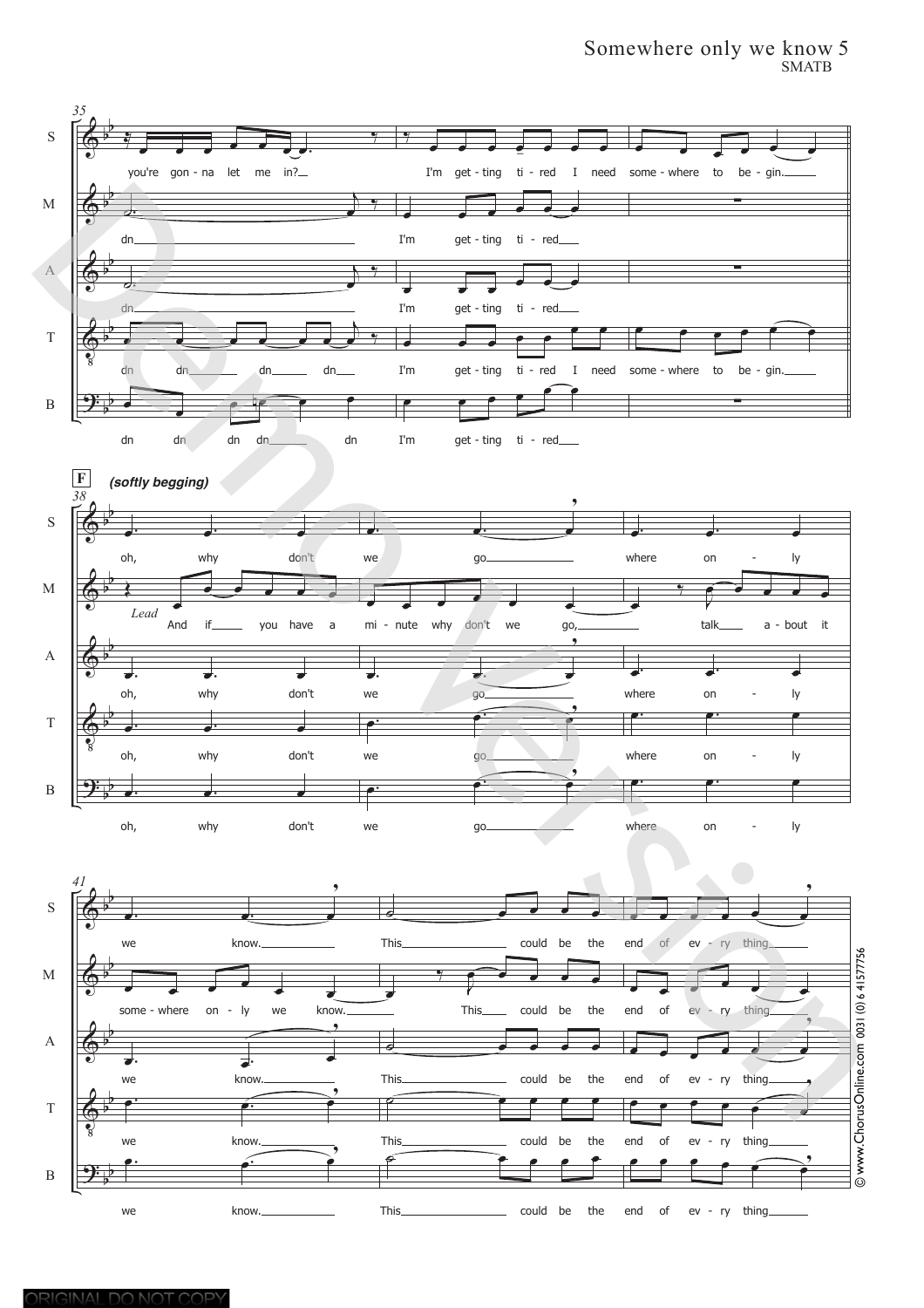## Somewhere only we know 5 SMATB

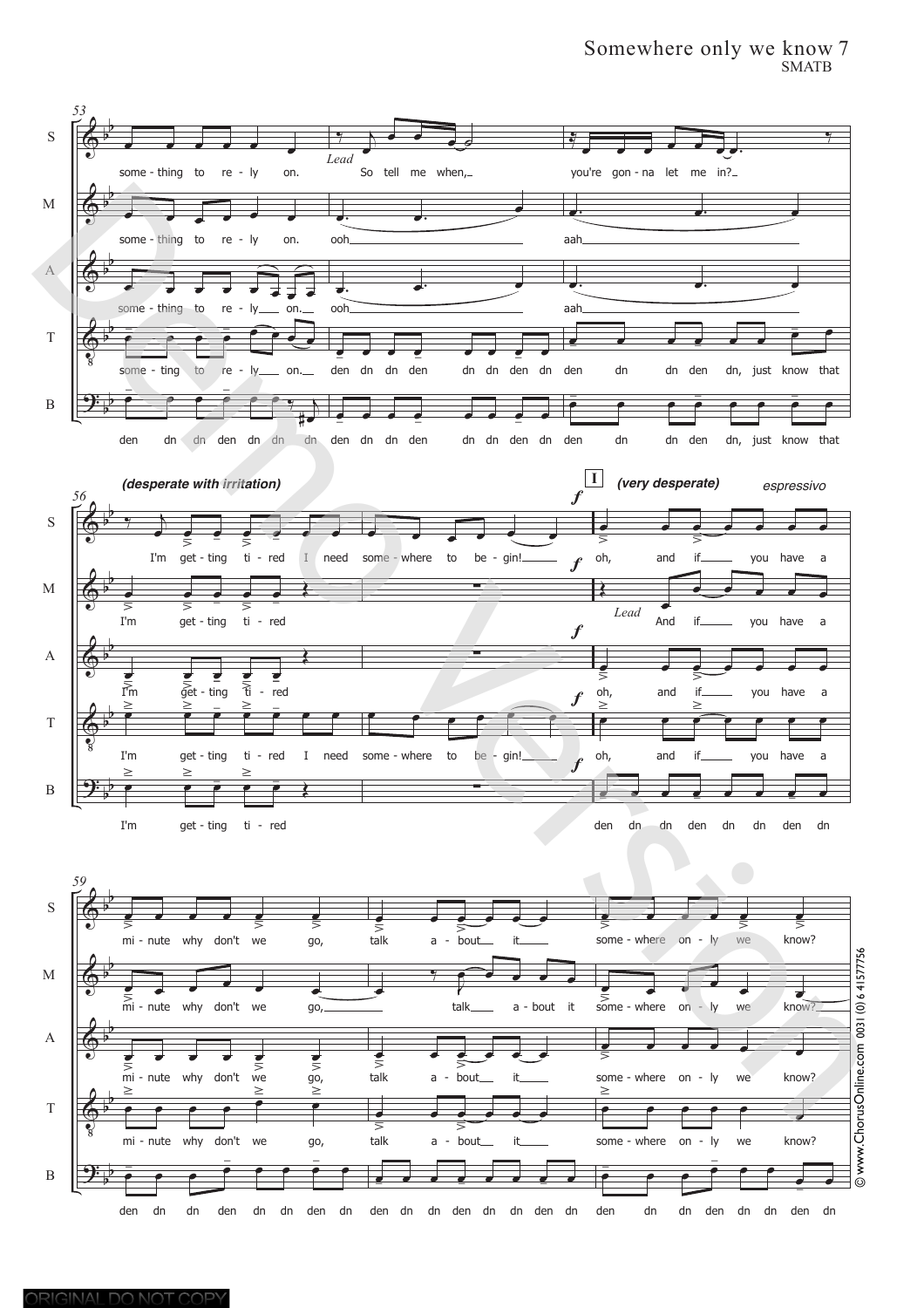## Somewhere only we know 7 SMATB